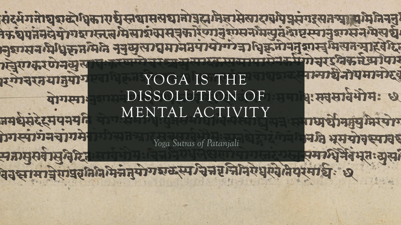रमेग्वरतयानुयोग योगस्पाः नमधुसंदरमयभयनि गिरपागनवागमे मज्ञामुसर्वासुनिधि वेदसामाचे राष्ट्रक्रिति मिन्ने नुयोगश्रुटस्प चित्तरनिनिर्ये पुरुदेतिपुरमार्धः ६

DISSOLUTION OF MENTAL ACTIVITY

*Yoga Sutras of Patanjali*

YOGA IS THE

नान्मार्धनीयमानोरव

धः मवसावेभोमः ध

गधार्थीनम्युमिरयोग

न मे भूमयोवस्पावह

समाधिर्वे वंधतः सूसा

संदर्भगतोष्ठाब्दोधिकारार्धस्तवासस्यानोष्ठस्रानेज्ञासेस्गरायापेप्रसंगरस्यतम् सम्मिनिननु के युपनेनदेयोगशास्तत्व मिसाशंखासूनकारेणानुशास्त्रभित्युतं श्रेष्टस्यानुशास्त्रभित्यद्य नुशासन प्रिधिकृतम्भनि नेतुसुलग्यमानेत्रयायोग्गेका धिकृतीनेतृशास्त्रमिलन माहवरित गोर्युइनिकर्त्रधापार हिंसाकरणेनमुस्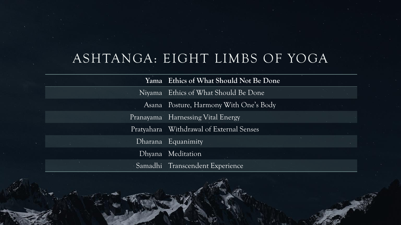## ASHTANGA: EIGHT LIMBS OF YOGA

**Yama Ethics of What Should Not Be Done** Niyama Ethics of What Should Be Done Asana Posture, Harmony With One's Body Pranayama Harnessing Vital Energy Pratyahara Withdrawal of External Senses Dharana Equanimity Dhyana Meditation Samadhi Transcendent Experience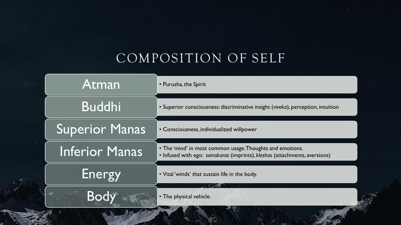# COMPOSITION OF SELF

| Atman                 | • Purusha, the Spirit                                                                                                                   |
|-----------------------|-----------------------------------------------------------------------------------------------------------------------------------------|
| <b>Buddhi</b>         | • Superior consciousness: discriminative insight (viveka), perception, intuition                                                        |
| <b>Superior Manas</b> | • Consciousness, individualized willpower                                                                                               |
| <b>Inferior Manas</b> | • The 'mind' in most common usage. Thoughts and emotions.<br>• Infused with ego: samskaras (imprints), kleshas (attachments, aversions) |
| Energy                | • Vital 'winds' that sustain life in the body.                                                                                          |
| Bod                   | • The physical vehicle.                                                                                                                 |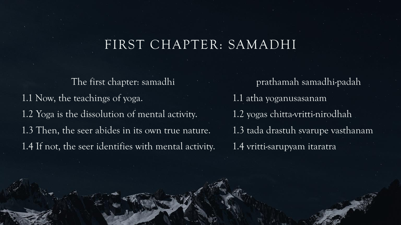#### FIRST CHAPTER: SAMADHI

The first chapter: samadhi 1.1 Now, the teachings of yoga. 1.2 Yoga is the dissolution of mental activity. 1.3 Then, the seer abides in its own true nature. 1.4 If not, the seer identifies with mental activity.

prathamah samadhi-padah 1.1 atha yoganusasanam 1.2 yogas chitta-vritti-nirodhah 1.3 tada drastuh svarupe vasthanam 1.4 vritti-sarupyam itaratra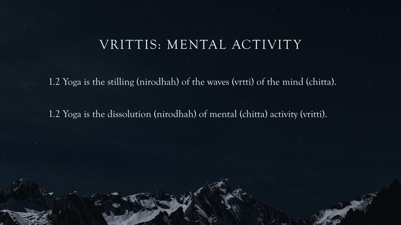#### VRITTIS: MENTAL ACTIVITY

1.2 Yoga is the stilling (nirodhah) of the waves (vrtti) of the mind (chitta).

1.2 Yoga is the dissolution (nirodhah) of mental (chitta) activity (vritti).